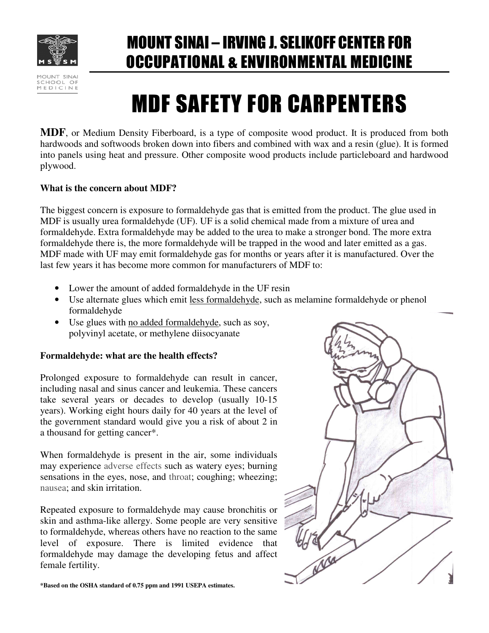

MOUNT SINAI SCHOOL OF MEDICINE MOUNT SINAI – IRVING J. SELIKOFF CENTER FOR OCCUPATIONAL & ENVIRONMENTAL MEDICINE

# MDF SAFETY FOR CARPENTERS

**MDF**, or Medium Density Fiberboard, is a type of composite wood product. It is produced from both hardwoods and softwoods broken down into fibers and combined with wax and a resin (glue). It is formed into panels using heat and pressure. Other composite wood products include particleboard and hardwood plywood.

# **What is the concern about MDF?**

The biggest concern is exposure to formaldehyde gas that is emitted from the product. The glue used in MDF is usually urea formaldehyde (UF). UF is a solid chemical made from a mixture of urea and formaldehyde. Extra formaldehyde may be added to the urea to make a stronger bond. The more extra formaldehyde there is, the more formaldehyde will be trapped in the wood and later emitted as a gas. MDF made with UF may emit formaldehyde gas for months or years after it is manufactured. Over the last few years it has become more common for manufacturers of MDF to:

- Lower the amount of added formaldehyde in the UF resin
- Use alternate glues which emit less formaldehyde, such as melamine formaldehyde or phenol formaldehyde
- Use glues with no added formaldehyde, such as soy, polyvinyl acetate, or methylene diisocyanate

# **Formaldehyde: what are the health effects?**

Prolonged exposure to formaldehyde can result in cancer, including nasal and sinus cancer and leukemia. These cancers take several years or decades to develop (usually 10-15 years). Working eight hours daily for 40 years at the level of the government standard would give you a risk of about 2 in a thousand for getting cancer\*.

When formaldehyde is present in the air, some individuals may experience adverse effects such as watery eyes; burning sensations in the eyes, nose, and throat; coughing; wheezing; nausea; and skin irritation.

Repeated exposure to formaldehyde may cause bronchitis or skin and asthma-like allergy. Some people are very sensitive to formaldehyde, whereas others have no reaction to the same level of exposure. There is limited evidence that formaldehyde may damage the developing fetus and affect female fertility.



**\*Based on the OSHA standard of 0.75 ppm and 1991 USEPA estimates.**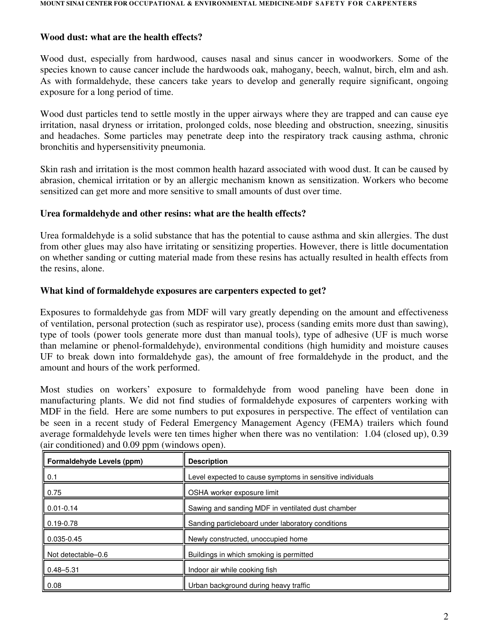# **Wood dust: what are the health effects?**

Wood dust, especially from hardwood, causes nasal and sinus cancer in woodworkers. Some of the species known to cause cancer include the hardwoods oak, mahogany, beech, walnut, birch, elm and ash. As with formaldehyde, these cancers take years to develop and generally require significant, ongoing exposure for a long period of time.

Wood dust particles tend to settle mostly in the upper airways where they are trapped and can cause eye irritation, nasal dryness or irritation, prolonged colds, nose bleeding and obstruction, sneezing, sinusitis and headaches. Some particles may penetrate deep into the respiratory track causing asthma, chronic bronchitis and hypersensitivity pneumonia.

Skin rash and irritation is the most common health hazard associated with wood dust. It can be caused by abrasion, chemical irritation or by an allergic mechanism known as sensitization. Workers who become sensitized can get more and more sensitive to small amounts of dust over time.

# **Urea formaldehyde and other resins: what are the health effects?**

Urea formaldehyde is a solid substance that has the potential to cause asthma and skin allergies. The dust from other glues may also have irritating or sensitizing properties. However, there is little documentation on whether sanding or cutting material made from these resins has actually resulted in health effects from the resins, alone.

#### **What kind of formaldehyde exposures are carpenters expected to get?**

Exposures to formaldehyde gas from MDF will vary greatly depending on the amount and effectiveness of ventilation, personal protection (such as respirator use), process (sanding emits more dust than sawing), type of tools (power tools generate more dust than manual tools), type of adhesive (UF is much worse than melamine or phenol-formaldehyde), environmental conditions (high humidity and moisture causes UF to break down into formaldehyde gas), the amount of free formaldehyde in the product, and the amount and hours of the work performed.

Most studies on workers' exposure to formaldehyde from wood paneling have been done in manufacturing plants. We did not find studies of formaldehyde exposures of carpenters working with MDF in the field. Here are some numbers to put exposures in perspective. The effect of ventilation can be seen in a recent study of Federal Emergency Management Agency (FEMA) trailers which found average formaldehyde levels were ten times higher when there was no ventilation: 1.04 (closed up), 0.39 (air conditioned) and 0.09 ppm (windows open).

| Formaldehyde Levels (ppm) | <b>Description</b>                                        |
|---------------------------|-----------------------------------------------------------|
| $\vert 0.1 \vert$         | Level expected to cause symptoms in sensitive individuals |
| 0.75                      | OSHA worker exposure limit                                |
| $0.01 - 0.14$             | Sawing and sanding MDF in ventilated dust chamber         |
| $0.19 - 0.78$             | Sanding particleboard under laboratory conditions         |
| $\blacksquare$ 0.035-0.45 | Newly constructed, unoccupied home                        |
| Not detectable-0.6        | Buildings in which smoking is permitted                   |
| $\blacksquare$ 0.48–5.31  | Indoor air while cooking fish                             |
| 0.08                      | Urban background during heavy traffic                     |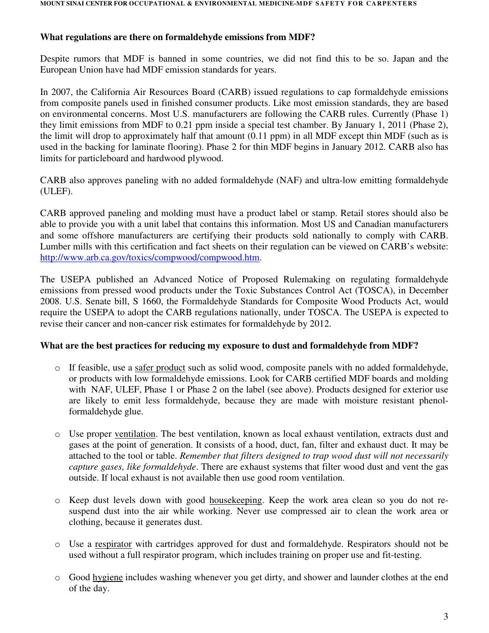# **What regulations are there on formaldehyde emissions from MDF?**

Despite rumors that MDF is banned in some countries, we did not find this to be so. Japan and the European Union have had MDF emission standards for years.

In 2007, the California Air Resources Board (CARB) issued regulations to cap formaldehyde emissions from composite panels used in finished consumer products. Like most emission standards, they are based on environmental concerns. Most U.S. manufacturers are following the CARB rules. Currently (Phase 1) they limit emissions from MDF to 0.21 ppm inside a special test chamber. By January 1, 2011 (Phase 2), the limit will drop to approximately half that amount (0.11 ppm) in all MDF except thin MDF (such as is used in the backing for laminate flooring). Phase 2 for thin MDF begins in January 2012. CARB also has limits for particleboard and hardwood plywood.

CARB also approves paneling with no added formaldehyde (NAF) and ultra-low emitting formaldehyde (ULEF).

CARB approved paneling and molding must have a product label or stamp. Retail stores should also be able to provide you with a unit label that contains this information. Most US and Canadian manufacturers and some offshore manufacturers are certifying their products sold nationally to comply with CARB. Lumber mills with this certification and fact sheets on their regulation can be viewed on CARB's website: http://www.arb.ca.gov/toxics/compwood/compwood.htm.

The USEPA published an Advanced Notice of Proposed Rulemaking on regulating formaldehyde emissions from pressed wood products under the Toxic Substances Control Act (TOSCA), in December 2008. U.S. Senate bill, S 1660, the Formaldehyde Standards for Composite Wood Products Act, would require the USEPA to adopt the CARB regulations nationally, under TOSCA. The USEPA is expected to revise their cancer and non-cancer risk estimates for formaldehyde by 2012.

# **What are the best practices for reducing my exposure to dust and formaldehyde from MDF?**

- o If feasible, use a safer product such as solid wood, composite panels with no added formaldehyde, or products with low formaldehyde emissions. Look for CARB certified MDF boards and molding with NAF, ULEF, Phase 1 or Phase 2 on the label (see above). Products designed for exterior use are likely to emit less formaldehyde, because they are made with moisture resistant phenolformaldehyde glue.
- o Use proper ventilation. The best ventilation, known as local exhaust ventilation, extracts dust and gases at the point of generation. It consists of a hood, duct, fan, filter and exhaust duct. It may be attached to the tool or table. *Remember that filters designed to trap wood dust will not necessarily capture gases, like formaldehyde*. There are exhaust systems that filter wood dust and vent the gas outside. If local exhaust is not available then use good room ventilation.
- o Keep dust levels down with good housekeeping. Keep the work area clean so you do not resuspend dust into the air while working. Never use compressed air to clean the work area or clothing, because it generates dust.
- o Use a respirator with cartridges approved for dust and formaldehyde. Respirators should not be used without a full respirator program, which includes training on proper use and fit-testing.
- o Good hygiene includes washing whenever you get dirty, and shower and launder clothes at the end of the day.